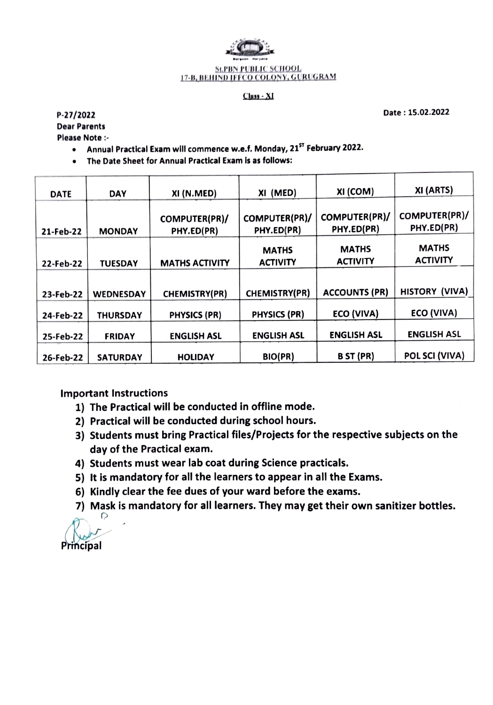

## SLPBN PUBLIC SCHOOL<br>17-B, BEHIND IFFCO COLONY, GURUGRAM

## Class - XI

P-27/2022 Date: 15.02.2022

Dear Parents

Please Note :-

- Annual Practical Exam will commence w.e.f. Monday, 21<sup>5T</sup> February 2022.
- The Date Sheet for Annual Practical Exam is as follows:  $\bullet$

| <b>DATE</b> | <b>DAY</b>       | XI (N.MED)                  | XI (MED)                        | XI (COM)                        | XI (ARTS)                       |
|-------------|------------------|-----------------------------|---------------------------------|---------------------------------|---------------------------------|
| 21-Feb-22   | <b>MONDAY</b>    | COMPUTER(PR)/<br>PHY.ED(PR) | COMPUTER(PR)/<br>PHY.ED(PR)     | COMPUTER(PR)/<br>PHY.ED(PR)     | COMPUTER(PR)/<br>PHY.ED(PR)     |
| 22-Feb-22   | <b>TUESDAY</b>   | <b>MATHS ACTIVITY</b>       | <b>MATHS</b><br><b>ACTIVITY</b> | <b>MATHS</b><br><b>ACTIVITY</b> | <b>MATHS</b><br><b>ACTIVITY</b> |
| 23-Feb-22   | <b>WEDNESDAY</b> | <b>CHEMISTRY(PR)</b>        | CHEMISTRY(PR)                   | <b>ACCOUNTS (PR)</b>            | HISTORY (VIVA)                  |
| 24-Feb-22   | <b>THURSDAY</b>  | <b>PHYSICS (PR)</b>         | <b>PHYSICS (PR)</b>             | <b>ECO (VIVA)</b>               | ECO (VIVA)                      |
| 25-Feb-22   | <b>FRIDAY</b>    | <b>ENGLISH ASL</b>          | <b>ENGLISH ASL</b>              | <b>ENGLISH ASL</b>              | <b>ENGLISH ASL</b>              |
| 26-Feb-22   | <b>SATURDAY</b>  | <b>HOLIDAY</b>              | BIO(PR)                         | <b>B</b> ST (PR)                | POL SCI (VIVA)                  |

Important Instructions

- 1) The Practical will be conducted in offline mode.
- 2) Practical will be conducted during school hours.
- 3) Students must bring Practical files/Projects for the respective subjects on the day of the Practical exam.
- 4) Students must wear lab coat during Science practicals.
- 5) It is mandatory for all the learners to appear in all the Exams.
- 6) Kindly clear the fee dues of your ward before the exams.
- 7) Mask is mandatory for all learners. They may get their own sanitizer bottles.

Principal